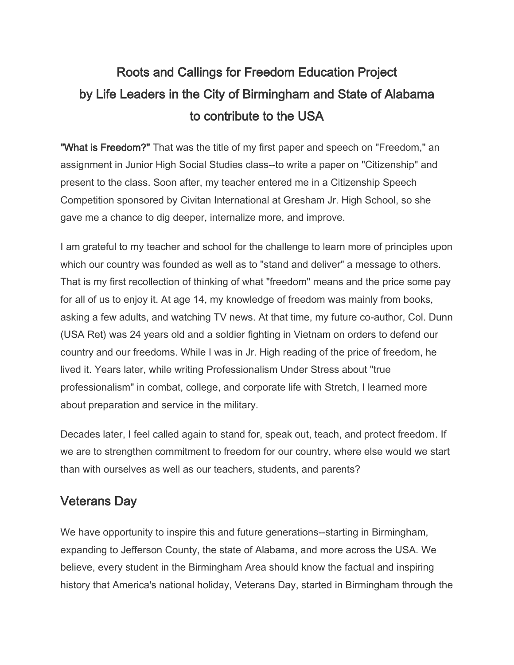# Roots and Callings for Freedom Education Project by Life Leaders in the City of Birmingham and State of Alabama to contribute to the USA

"What is Freedom?" That was the title of my first paper and speech on "Freedom," an assignment in Junior High Social Studies class--to write a paper on "Citizenship" and present to the class. Soon after, my teacher entered me in a Citizenship Speech Competition sponsored by Civitan International at Gresham Jr. High School, so she gave me a chance to dig deeper, internalize more, and improve.

I am grateful to my teacher and school for the challenge to learn more of principles upon which our country was founded as well as to "stand and deliver" a message to others. That is my first recollection of thinking of what "freedom" means and the price some pay for all of us to enjoy it. At age 14, my knowledge of freedom was mainly from books, asking a few adults, and watching TV news. At that time, my future co-author, Col. Dunn (USA Ret) was 24 years old and a soldier fighting in Vietnam on orders to defend our country and our freedoms. While I was in Jr. High reading of the price of freedom, he lived it. Years later, while writing Professionalism Under Stress about "true professionalism" in combat, college, and corporate life with Stretch, I learned more about preparation and service in the military.

Decades later, I feel called again to stand for, speak out, teach, and protect freedom. If we are to strengthen commitment to freedom for our country, where else would we start than with ourselves as well as our teachers, students, and parents?

## Veterans Day

We have opportunity to inspire this and future generations--starting in Birmingham, expanding to Jefferson County, the state of Alabama, and more across the USA. We believe, every student in the Birmingham Area should know the factual and inspiring history that America's national holiday, Veterans Day, started in Birmingham through the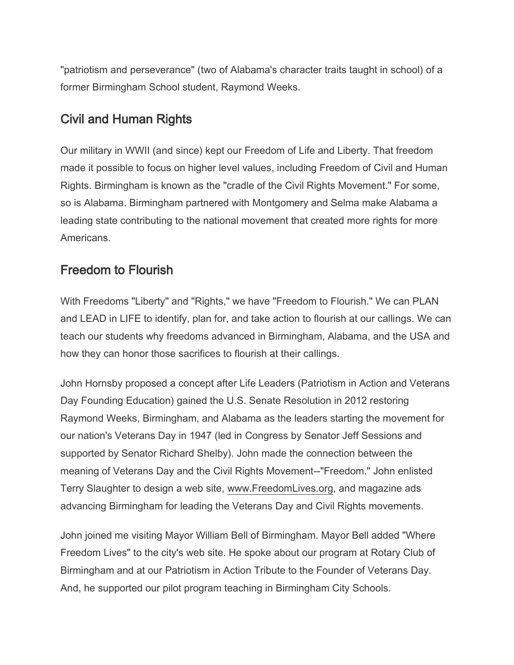"patriotism and perseverance" (two of Alabama's character traits taught in school) of a former Birmingham School student, Raymond Weeks.

### Civil and Human Rights

Our military in WWII (and since) kept our Freedom of Life and Liberty. That freedom made it possible to focus on higher level values, including Freedom of Civil and Human Rights. Birmingham is known as the "cradle of the Civil Rights Movement." For some, so is Alabama. Birmingham partnered with Montgomery and Selma make Alabama a leading state contributing to the national movement that created more rights for more Americans.

## Freedom to Flourish

With Freedoms "Liberty" and "Rights," we have "Freedom to Flourish." We can PLAN and LEAD in LIFE to identify, plan for, and take action to flourish at our callings. We can teach our students why freedoms advanced in Birmingham, Alabama, and the USA and how they can honor those sacrifices to flourish at their callings.

John Hornsby proposed a concept after Life Leaders (Patriotism in Action and Veterans Day Founding Education) gained the U.S. Senate Resolution in 2012 restoring Raymond Weeks, Birmingham, and Alabama as the leaders starting the movement for our nation's Veterans Day in 1947 (led in Congress by Senator Jeff Sessions and supported by Senator Richard Shelby). John made the connection between the meaning of Veterans Day and the Civil Rights Movement--"Freedom." John enlisted Terry Slaughter to design a web site, [www.FreedomLives.org,](http://www.freedomlives.org/) and magazine ads advancing Birmingham for leading the Veterans Day and Civil Rights movements.

John joined me visiting Mayor William Bell of Birmingham. Mayor Bell added "Where Freedom Lives" to the city's web site. He spoke about our program at Rotary Club of Birmingham and at our Patriotism in Action Tribute to the Founder of Veterans Day. And, he supported our pilot program teaching in Birmingham City Schools.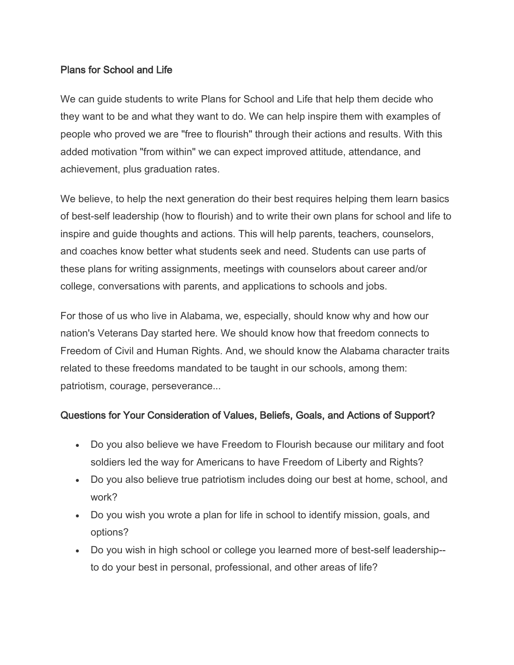#### Plans for School and Life

We can guide students to write Plans for School and Life that help them decide who they want to be and what they want to do. We can help inspire them with examples of people who proved we are "free to flourish" through their actions and results. With this added motivation "from within" we can expect improved attitude, attendance, and achievement, plus graduation rates.

We believe, to help the next generation do their best requires helping them learn basics of best-self leadership (how to flourish) and to write their own plans for school and life to inspire and guide thoughts and actions. This will help parents, teachers, counselors, and coaches know better what students seek and need. Students can use parts of these plans for writing assignments, meetings with counselors about career and/or college, conversations with parents, and applications to schools and jobs.

For those of us who live in Alabama, we, especially, should know why and how our nation's Veterans Day started here. We should know how that freedom connects to Freedom of Civil and Human Rights. And, we should know the Alabama character traits related to these freedoms mandated to be taught in our schools, among them: patriotism, courage, perseverance...

#### Questions for Your Consideration of Values, Beliefs, Goals, and Actions of Support?

- Do you also believe we have Freedom to Flourish because our military and foot soldiers led the way for Americans to have Freedom of Liberty and Rights?
- Do you also believe true patriotism includes doing our best at home, school, and work?
- Do you wish you wrote a plan for life in school to identify mission, goals, and options?
- Do you wish in high school or college you learned more of best-self leadership- to do your best in personal, professional, and other areas of life?